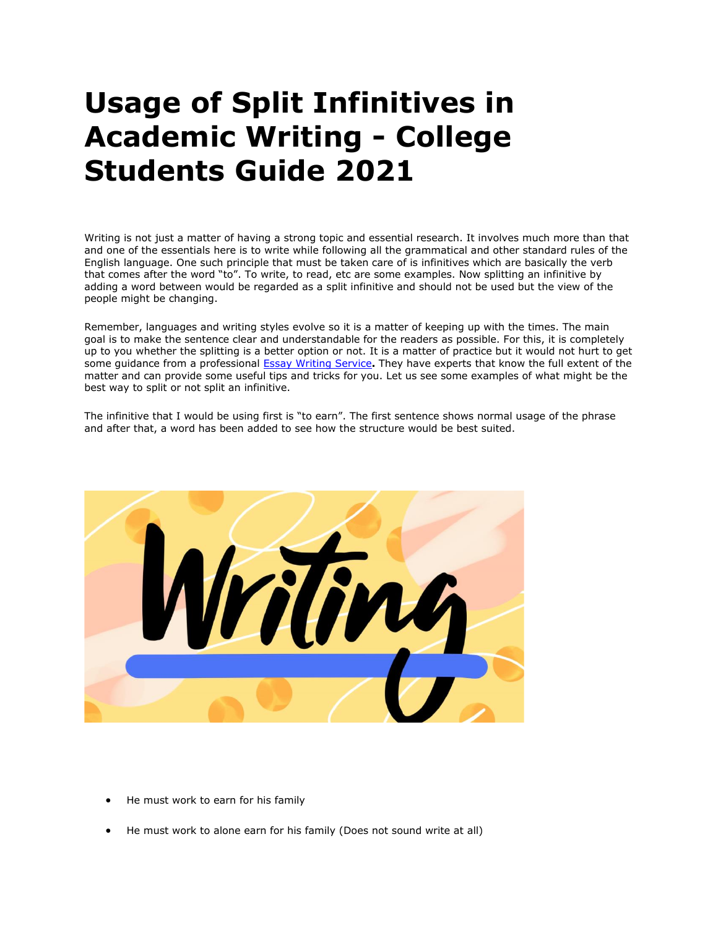## **Usage of Split Infinitives in Academic Writing - College Students Guide 2021**

Writing is not just a matter of having a strong topic and essential research. It involves much more than that and one of the essentials here is to write while following all the grammatical and other standard rules of the English language. One such principle that must be taken care of is infinitives which are basically the verb that comes after the word "to". To write, to read, etc are some examples. Now splitting an infinitive by adding a word between would be regarded as a split infinitive and should not be used but the view of the people might be changing.

Remember, languages and writing styles evolve so it is a matter of keeping up with the times. The main goal is to make the sentence clear and understandable for the readers as possible. For this, it is completely up to you whether the splitting is a better option or not. It is a matter of practice but it would not hurt to get some guidance from a professional [Essay Writing Service](https://www.myperfectwords.com/)**.** They have experts that know the full extent of the matter and can provide some useful tips and tricks for you. Let us see some examples of what might be the best way to split or not split an infinitive.

The infinitive that I would be using first is "to earn". The first sentence shows normal usage of the phrase and after that, a word has been added to see how the structure would be best suited.



- He must work to earn for his family
- He must work to alone earn for his family (Does not sound write at all)